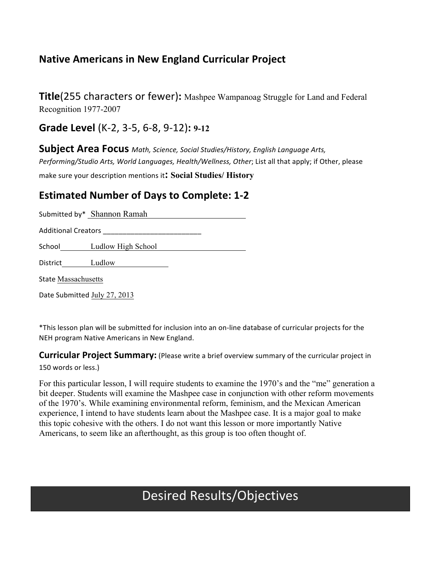## **Native Americans in New England Curricular Project**

Title(255 characters or fewer): Mashpee Wampanoag Struggle for Land and Federal Recognition 1977-2007

Grade Level (K-2, 3-5, 6-8, 9-12): 9-12

Subject Area Focus Math, Science, Social Studies/History, English Language Arts, Performing/Studio Arts, World Languages, Health/Wellness, Other; List all that apply; if Other, please make sure your description mentions it: Social Studies/ History

## **Estimated Number of Days to Complete: 1-2**

Submitted by\* Shannon Ramah

School Ludlow High School

District Ludlow

**State Massachusetts** 

Date Submitted July 27, 2013

\*This lesson plan will be submitted for inclusion into an on-line database of curricular projects for the NEH program Native Americans in New England.

**Curricular Project Summary:** (Please write a brief overview summary of the curricular project in 150 words or less.)

For this particular lesson, I will require students to examine the 1970's and the "me" generation a bit deeper. Students will examine the Mashpee case in conjunction with other reform movements of the 1970's. While examining environmental reform, feminism, and the Mexican American experience, I intend to have students learn about the Mashpee case. It is a major goal to make this topic cohesive with the others. I do not want this lesson or more importantly Native Americans, to seem like an afterthought, as this group is too often thought of.

## **Desired Results/Objectives**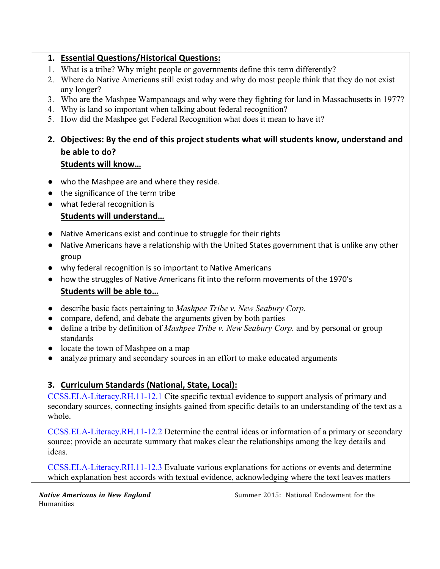#### 1. Essential Questions/Historical Questions:

- 1. What is a tribe? Why might people or governments define this term differently?
- 2. Where do Native Americans still exist today and why do most people think that they do not exist any longer?
- 3. Who are the Mashpee Wampanoags and why were they fighting for land in Massachusetts in 1977?
- 4. Why is land so important when talking about federal recognition?
- 5. How did the Mashpee get Federal Recognition what does it mean to have it?
- 2. Objectives: By the end of this project students what will students know, understand and be able to do?

#### **Students will know...**

- who the Mashpee are and where they reside.
- the significance of the term tribe
- what federal recognition is

### Students will understand...

- Native Americans exist and continue to struggle for their rights
- Native Americans have a relationship with the United States government that is unlike any other group
- why federal recognition is so important to Native Americans
- how the struggles of Native Americans fit into the reform movements of the 1970's Students will be able to...
- describe basic facts pertaining to *Mashpee Tribe v. New Seabury Corp.*
- compare, defend, and debate the arguments given by both parties
- define a tribe by definition of *Mashpee Tribe v. New Seabury Corp.* and by personal or group standards
- locate the town of Mashpee on a map
- analyze primary and secondary sources in an effort to make educated arguments

### 3. Curriculum Standards (National, State, Local):

CCSS.ELA-Literacy.RH.11-12.1 Cite specific textual evidence to support analysis of primary and secondary sources, connecting insights gained from specific details to an understanding of the text as a whole.

CCSS.ELA-Literacy.RH.11-12.2 Determine the central ideas or information of a primary or secondary source; provide an accurate summary that makes clear the relationships among the key details and ideas.

CCSS.ELA-Literacy.RH.11-12.3 Evaluate various explanations for actions or events and determine which explanation best accords with textual evidence, acknowledging where the text leaves matters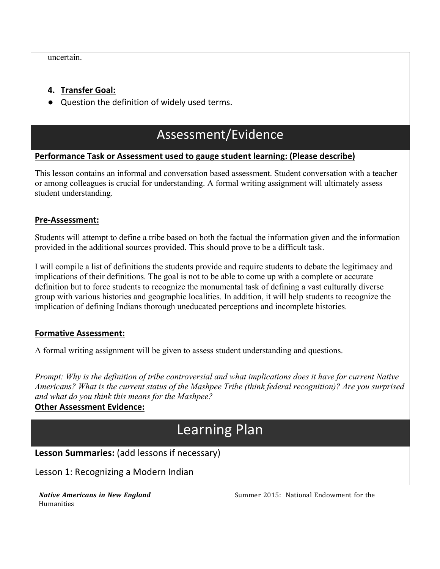uncertain.

#### **4. Transfer Goal:**

 $\bullet$  Question the definition of widely used terms.

## Assessment/Evidence

#### **Performance Task or Assessment used to gauge student learning: (Please describe)**

This lesson contains an informal and conversation based assessment. Student conversation with a teacher or among colleagues is crucial for understanding. A formal writing assignment will ultimately assess student understanding.

#### **Pre-Assessment:**

Students will attempt to define a tribe based on both the factual the information given and the information provided in the additional sources provided. This should prove to be a difficult task.

I will compile a list of definitions the students provide and require students to debate the legitimacy and implications of their definitions. The goal is not to be able to come up with a complete or accurate definition but to force students to recognize the monumental task of defining a vast culturally diverse group with various histories and geographic localities. In addition, it will help students to recognize the implication of defining Indians thorough uneducated perceptions and incomplete histories.

#### **Formative Assessment:**

A formal writing assignment will be given to assess student understanding and questions.

*Prompt: Why is the definition of tribe controversial and what implications does it have for current Native Americans? What is the current status of the Mashpee Tribe (think federal recognition)? Are you surprised and what do you think this means for the Mashpee?* 

### **Other Assessment Evidence:**

# Learning Plan

**Lesson Summaries:** (add lessons if necessary)

Lesson 1: Recognizing a Modern Indian

Humanities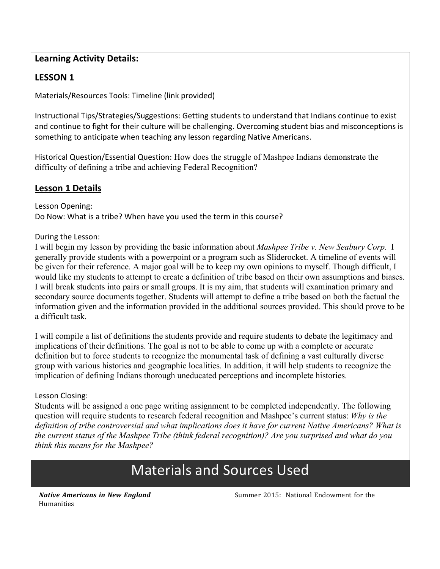### **Learning Activity Details:**

## **LESSON 1**

Materials/Resources Tools: Timeline (link provided)

Instructional Tips/Strategies/Suggestions: Getting students to understand that Indians continue to exist and continue to fight for their culture will be challenging. Overcoming student bias and misconceptions is something to anticipate when teaching any lesson regarding Native Americans.

Historical Question/Essential Question: How does the struggle of Mashpee Indians demonstrate the difficulty of defining a tribe and achieving Federal Recognition?

#### **Lesson 1 Details**

Lesson Opening: Do Now: What is a tribe? When have you used the term in this course?

#### During the Lesson:

I will begin my lesson by providing the basic information about *Mashpee Tribe v. New Seabury Corp.* I generally provide students with a powerpoint or a program such as Sliderocket. A timeline of events will be given for their reference. A major goal will be to keep my own opinions to myself. Though difficult, I would like my students to attempt to create a definition of tribe based on their own assumptions and biases. I will break students into pairs or small groups. It is my aim, that students will examination primary and secondary source documents together. Students will attempt to define a tribe based on both the factual the information given and the information provided in the additional sources provided. This should prove to be a difficult task.

I will compile a list of definitions the students provide and require students to debate the legitimacy and implications of their definitions. The goal is not to be able to come up with a complete or accurate definition but to force students to recognize the monumental task of defining a vast culturally diverse group with various histories and geographic localities. In addition, it will help students to recognize the implication of defining Indians thorough uneducated perceptions and incomplete histories.

#### Lesson Closing:

Students will be assigned a one page writing assignment to be completed independently. The following question will require students to research federal recognition and Mashpee's current status: Why is the definition of tribe controversial and what implications does it have for current Native Americans? What is the current status of the Mashpee Tribe (think federal recognition)? Are you surprised and what do you think this means for the Mashpee?

## **Materials and Sources Used**

**Native Americans in New England** Humanities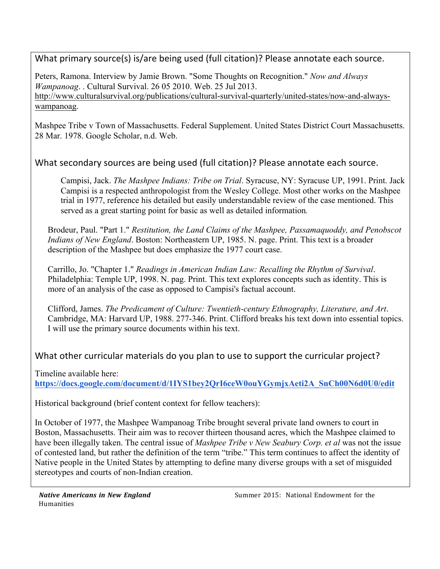What primary source(s) is/are being used (full citation)? Please annotate each source.

Peters, Ramona. Interview by Jamie Brown. "Some Thoughts on Recognition." *Now and Always Wampanoag*. . Cultural Survival. 26 05 2010. Web. 25 Jul 2013. http://www.culturalsurvival.org/publications/cultural-survival-quarterly/united-states/now-and-alwayswampanoag.

Mashpee Tribe v Town of Massachusetts. Federal Supplement. United States District Court Massachusetts. 28 Mar. 1978. Google Scholar, n.d. Web.

What secondary sources are being used (full citation)? Please annotate each source.

Campisi, Jack. *The Mashpee Indians: Tribe on Trial*. Syracuse, NY: Syracuse UP, 1991. Print. Jack Campisi is a respected anthropologist from the Wesley College. Most other works on the Mashpee trial in 1977, reference his detailed but easily understandable review of the case mentioned. This served as a great starting point for basic as well as detailed information*.* 

Brodeur, Paul. "Part 1." *Restitution, the Land Claims of the Mashpee, Passamaquoddy, and Penobscot Indians of New England*. Boston: Northeastern UP, 1985. N. page. Print. This text is a broader description of the Mashpee but does emphasize the 1977 court case.

Carrillo, Jo. "Chapter 1." *Readings in American Indian Law: Recalling the Rhythm of Survival*. Philadelphia: Temple UP, 1998. N. pag. Print. This text explores concepts such as identity. This is more of an analysis of the case as opposed to Campisi's factual account.

Clifford, James. *The Predicament of Culture: Twentieth-century Ethnography, Literature, and Art*. Cambridge, MA: Harvard UP, 1988. 277-346. Print. Clifford breaks his text down into essential topics. I will use the primary source documents within his text.

What other curricular materials do you plan to use to support the curricular project?

Timeline available here:

**https://docs.google.com/document/d/1IYS1bey2QrI6ceW0ouYGymjxAeti2A\_SnCh00N6d0U0/edit**

Historical background (brief content context for fellow teachers):

In October of 1977, the Mashpee Wampanoag Tribe brought several private land owners to court in Boston, Massachusetts. Their aim was to recover thirteen thousand acres, which the Mashpee claimed to have been illegally taken. The central issue of *Mashpee Tribe v New Seabury Corp. et al* was not the issue of contested land, but rather the definition of the term "tribe." This term continues to affect the identity of Native people in the United States by attempting to define many diverse groups with a set of misguided stereotypes and courts of non-Indian creation.